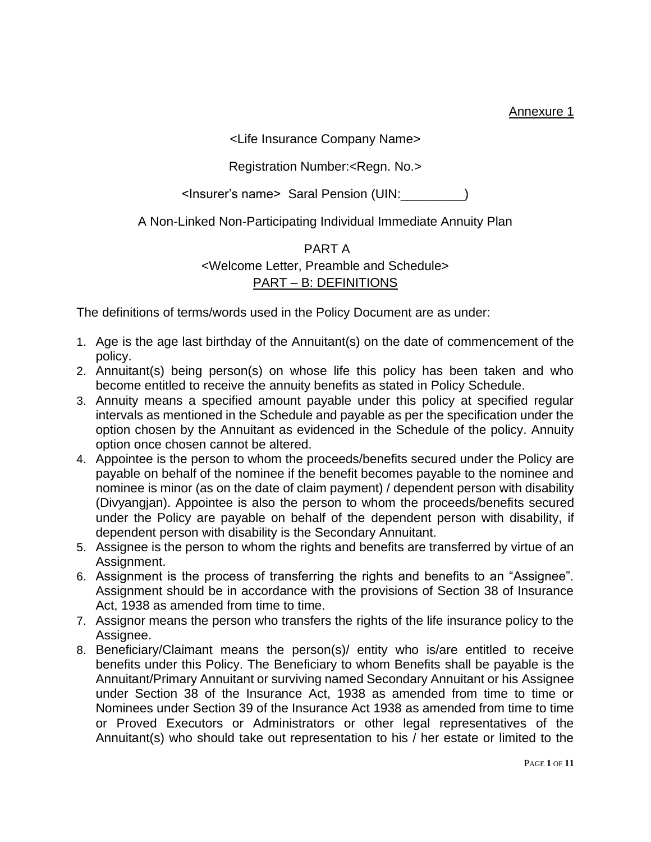Annexure 1

<Life Insurance Company Name>

#### Registration Number:<Regn. No.>

<Insurer's name> Saral Pension (UIN:\_\_\_\_\_\_\_\_\_)

A Non-Linked Non-Participating Individual Immediate Annuity Plan

### PART A <Welcome Letter, Preamble and Schedule> PART – B: DEFINITIONS

The definitions of terms/words used in the Policy Document are as under:

- 1. Age is the age last birthday of the Annuitant(s) on the date of commencement of the policy.
- 2. Annuitant(s) being person(s) on whose life this policy has been taken and who become entitled to receive the annuity benefits as stated in Policy Schedule.
- 3. Annuity means a specified amount payable under this policy at specified regular intervals as mentioned in the Schedule and payable as per the specification under the option chosen by the Annuitant as evidenced in the Schedule of the policy. Annuity option once chosen cannot be altered.
- 4. Appointee is the person to whom the proceeds/benefits secured under the Policy are payable on behalf of the nominee if the benefit becomes payable to the nominee and nominee is minor (as on the date of claim payment) / dependent person with disability (Divyangjan). Appointee is also the person to whom the proceeds/benefits secured under the Policy are payable on behalf of the dependent person with disability, if dependent person with disability is the Secondary Annuitant.
- 5. Assignee is the person to whom the rights and benefits are transferred by virtue of an Assignment.
- 6. Assignment is the process of transferring the rights and benefits to an "Assignee". Assignment should be in accordance with the provisions of Section 38 of Insurance Act, 1938 as amended from time to time.
- 7. Assignor means the person who transfers the rights of the life insurance policy to the Assignee.
- 8. Beneficiary/Claimant means the person(s)/ entity who is/are entitled to receive benefits under this Policy. The Beneficiary to whom Benefits shall be payable is the Annuitant/Primary Annuitant or surviving named Secondary Annuitant or his Assignee under Section 38 of the Insurance Act, 1938 as amended from time to time or Nominees under Section 39 of the Insurance Act 1938 as amended from time to time or Proved Executors or Administrators or other legal representatives of the Annuitant(s) who should take out representation to his / her estate or limited to the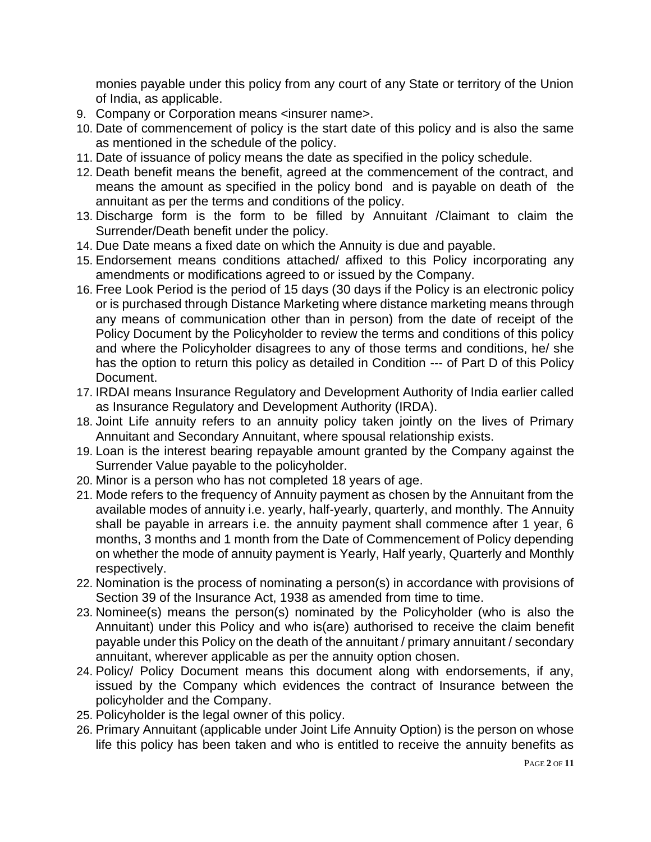monies payable under this policy from any court of any State or territory of the Union of India, as applicable.

- 9. Company or Corporation means <insurer name>.
- 10. Date of commencement of policy is the start date of this policy and is also the same as mentioned in the schedule of the policy.
- 11. Date of issuance of policy means the date as specified in the policy schedule.
- 12. Death benefit means the benefit, agreed at the commencement of the contract, and means the amount as specified in the policy bond and is payable on death of the annuitant as per the terms and conditions of the policy.
- 13. Discharge form is the form to be filled by Annuitant /Claimant to claim the Surrender/Death benefit under the policy.
- 14. Due Date means a fixed date on which the Annuity is due and payable.
- 15. Endorsement means conditions attached/ affixed to this Policy incorporating any amendments or modifications agreed to or issued by the Company.
- 16. Free Look Period is the period of 15 days (30 days if the Policy is an electronic policy or is purchased through Distance Marketing where distance marketing means through any means of communication other than in person) from the date of receipt of the Policy Document by the Policyholder to review the terms and conditions of this policy and where the Policyholder disagrees to any of those terms and conditions, he/ she has the option to return this policy as detailed in Condition --- of Part D of this Policy Document.
- 17. IRDAI means Insurance Regulatory and Development Authority of India earlier called as Insurance Regulatory and Development Authority (IRDA).
- 18. Joint Life annuity refers to an annuity policy taken jointly on the lives of Primary Annuitant and Secondary Annuitant, where spousal relationship exists.
- 19. Loan is the interest bearing repayable amount granted by the Company against the Surrender Value payable to the policyholder.
- 20. Minor is a person who has not completed 18 years of age.
- 21. Mode refers to the frequency of Annuity payment as chosen by the Annuitant from the available modes of annuity i.e. yearly, half-yearly, quarterly, and monthly. The Annuity shall be payable in arrears i.e. the annuity payment shall commence after 1 year, 6 months, 3 months and 1 month from the Date of Commencement of Policy depending on whether the mode of annuity payment is Yearly, Half yearly, Quarterly and Monthly respectively.
- 22. Nomination is the process of nominating a person(s) in accordance with provisions of Section 39 of the Insurance Act, 1938 as amended from time to time.
- 23. Nominee(s) means the person(s) nominated by the Policyholder (who is also the Annuitant) under this Policy and who is(are) authorised to receive the claim benefit payable under this Policy on the death of the annuitant / primary annuitant / secondary annuitant, wherever applicable as per the annuity option chosen.
- 24. Policy/ Policy Document means this document along with endorsements, if any, issued by the Company which evidences the contract of Insurance between the policyholder and the Company.
- 25. Policyholder is the legal owner of this policy.
- 26. Primary Annuitant (applicable under Joint Life Annuity Option) is the person on whose life this policy has been taken and who is entitled to receive the annuity benefits as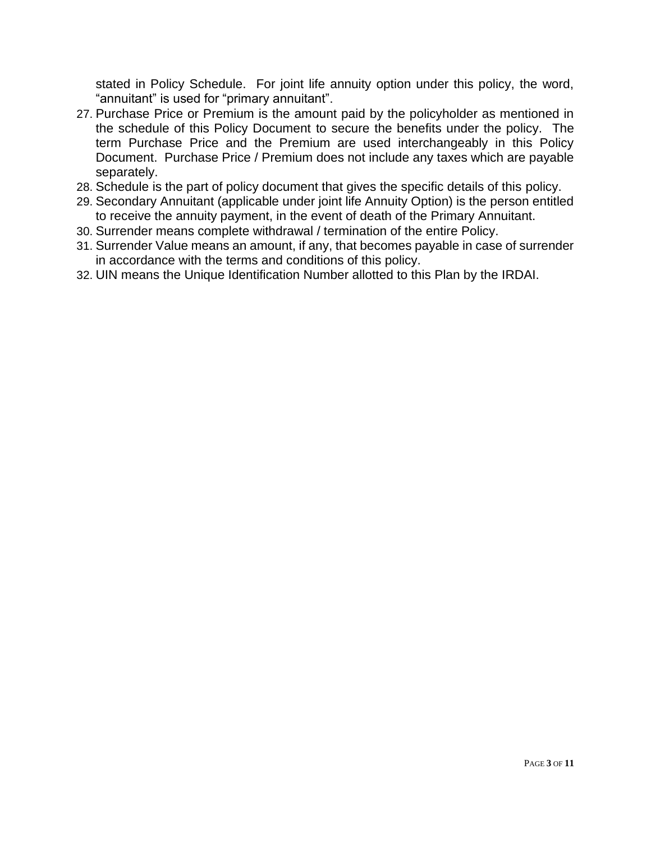stated in Policy Schedule. For joint life annuity option under this policy, the word, "annuitant" is used for "primary annuitant".

- 27. Purchase Price or Premium is the amount paid by the policyholder as mentioned in the schedule of this Policy Document to secure the benefits under the policy. The term Purchase Price and the Premium are used interchangeably in this Policy Document. Purchase Price / Premium does not include any taxes which are payable separately.
- 28. Schedule is the part of policy document that gives the specific details of this policy.
- 29. Secondary Annuitant (applicable under joint life Annuity Option) is the person entitled to receive the annuity payment, in the event of death of the Primary Annuitant.
- 30. Surrender means complete withdrawal / termination of the entire Policy.
- 31. Surrender Value means an amount, if any, that becomes payable in case of surrender in accordance with the terms and conditions of this policy.
- 32. UIN means the Unique Identification Number allotted to this Plan by the IRDAI.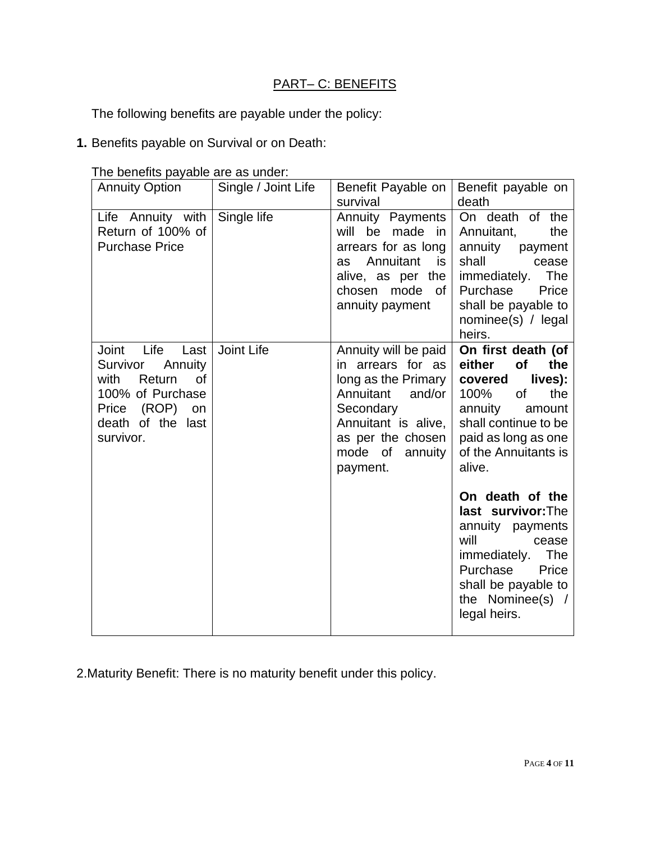## PART- C: BENEFITS

The following benefits are payable under the policy:

**1.** Benefits payable on Survival or on Death:

| <b>Annuity Option</b>                                           | Single / Joint Life | Benefit Payable on                                                                                                                                               | Benefit payable on                                                                                                                                                                |
|-----------------------------------------------------------------|---------------------|------------------------------------------------------------------------------------------------------------------------------------------------------------------|-----------------------------------------------------------------------------------------------------------------------------------------------------------------------------------|
|                                                                 |                     | survival                                                                                                                                                         | death                                                                                                                                                                             |
| Life Annuity with<br>Return of 100% of<br><b>Purchase Price</b> | Single life         | <b>Annuity Payments</b><br>will<br>be made<br>in<br>arrears for as long<br>Annuitant<br>as<br>is<br>alive, as per the<br>mode<br>chosen<br>0f<br>annuity payment | On death of the<br>Annuitant,<br>the<br>annuity<br>payment<br>shall<br>cease<br>The<br>immediately.<br>Purchase<br>Price<br>shall be payable to<br>nominee(s) / legal<br>heirs.   |
| Life<br>Joint<br>Last                                           | Joint Life          | Annuity will be paid                                                                                                                                             | On first death (of                                                                                                                                                                |
| Survivor<br>Annuity                                             |                     | in arrears for as                                                                                                                                                | either<br>of<br>the                                                                                                                                                               |
| with<br>Return<br><b>of</b>                                     |                     | long as the Primary<br>Annuitant<br>and/or                                                                                                                       | lives):<br>covered<br>the                                                                                                                                                         |
| 100% of Purchase<br>(ROP)<br>Price<br>on                        |                     | Secondary                                                                                                                                                        | 100%<br>of<br>annuity<br>amount                                                                                                                                                   |
| death of the last                                               |                     | Annuitant is alive,                                                                                                                                              | shall continue to be                                                                                                                                                              |
| survivor.                                                       |                     | as per the chosen                                                                                                                                                | paid as long as one                                                                                                                                                               |
|                                                                 |                     | mode of<br>annuity                                                                                                                                               | of the Annuitants is                                                                                                                                                              |
|                                                                 |                     | payment.                                                                                                                                                         | alive.                                                                                                                                                                            |
|                                                                 |                     |                                                                                                                                                                  | On death of the<br>last survivor: The<br>annuity payments<br>will<br>cease<br>immediately.<br>The<br>Purchase<br>Price<br>shall be payable to<br>the Nominee(s) /<br>legal heirs. |

The benefits payable are as under:

2.Maturity Benefit: There is no maturity benefit under this policy.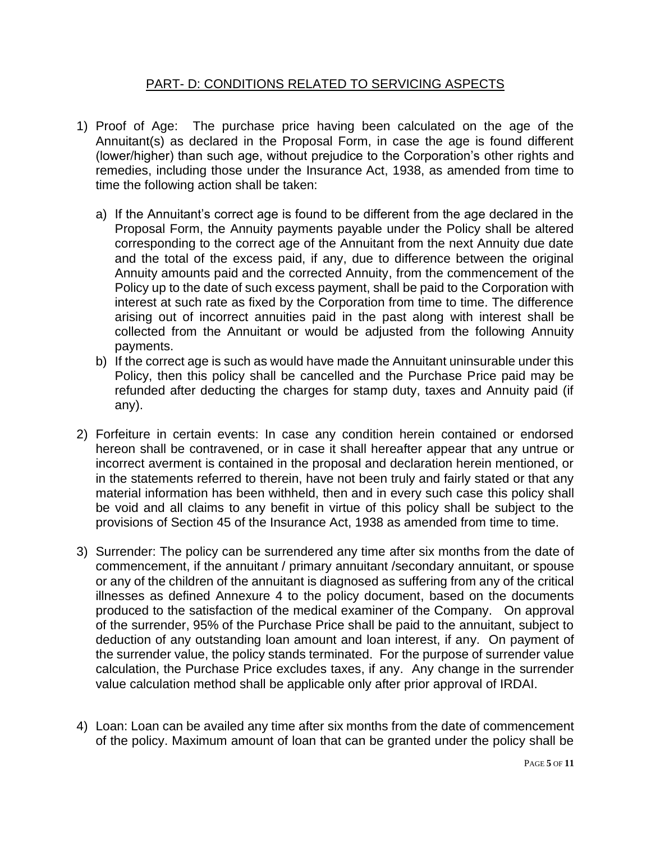#### PART- D: CONDITIONS RELATED TO SERVICING ASPECTS

- 1) Proof of Age: The purchase price having been calculated on the age of the Annuitant(s) as declared in the Proposal Form, in case the age is found different (lower/higher) than such age, without prejudice to the Corporation's other rights and remedies, including those under the Insurance Act, 1938, as amended from time to time the following action shall be taken:
	- a) If the Annuitant's correct age is found to be different from the age declared in the Proposal Form, the Annuity payments payable under the Policy shall be altered corresponding to the correct age of the Annuitant from the next Annuity due date and the total of the excess paid, if any, due to difference between the original Annuity amounts paid and the corrected Annuity, from the commencement of the Policy up to the date of such excess payment, shall be paid to the Corporation with interest at such rate as fixed by the Corporation from time to time. The difference arising out of incorrect annuities paid in the past along with interest shall be collected from the Annuitant or would be adjusted from the following Annuity payments.
	- b) If the correct age is such as would have made the Annuitant uninsurable under this Policy, then this policy shall be cancelled and the Purchase Price paid may be refunded after deducting the charges for stamp duty, taxes and Annuity paid (if any).
- 2) Forfeiture in certain events: In case any condition herein contained or endorsed hereon shall be contravened, or in case it shall hereafter appear that any untrue or incorrect averment is contained in the proposal and declaration herein mentioned, or in the statements referred to therein, have not been truly and fairly stated or that any material information has been withheld, then and in every such case this policy shall be void and all claims to any benefit in virtue of this policy shall be subject to the provisions of Section 45 of the Insurance Act, 1938 as amended from time to time.
- 3) Surrender: The policy can be surrendered any time after six months from the date of commencement, if the annuitant / primary annuitant /secondary annuitant, or spouse or any of the children of the annuitant is diagnosed as suffering from any of the critical illnesses as defined Annexure 4 to the policy document, based on the documents produced to the satisfaction of the medical examiner of the Company. On approval of the surrender, 95% of the Purchase Price shall be paid to the annuitant, subject to deduction of any outstanding loan amount and loan interest, if any. On payment of the surrender value, the policy stands terminated. For the purpose of surrender value calculation, the Purchase Price excludes taxes, if any. Any change in the surrender value calculation method shall be applicable only after prior approval of IRDAI.
- 4) Loan: Loan can be availed any time after six months from the date of commencement of the policy. Maximum amount of loan that can be granted under the policy shall be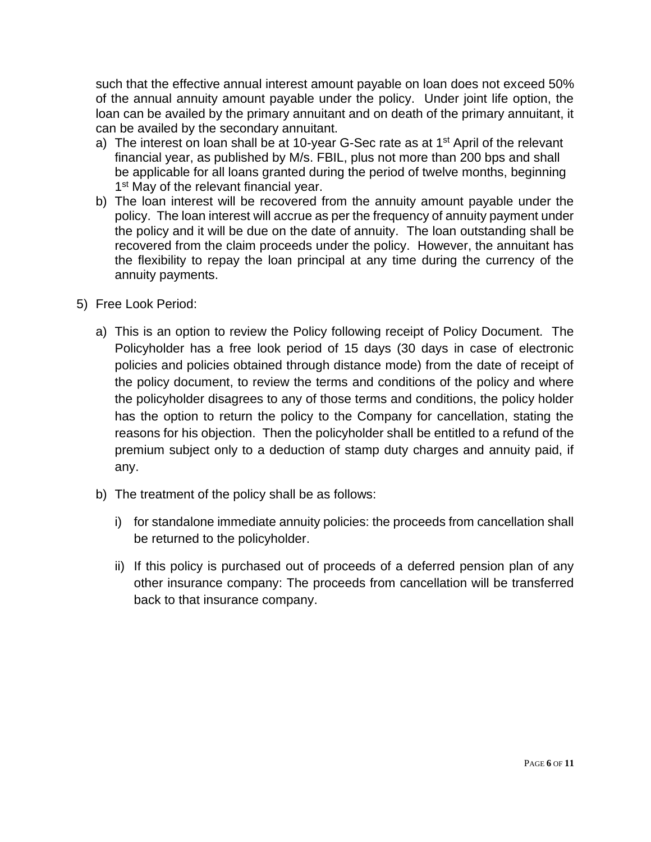such that the effective annual interest amount payable on loan does not exceed 50% of the annual annuity amount payable under the policy. Under joint life option, the loan can be availed by the primary annuitant and on death of the primary annuitant, it can be availed by the secondary annuitant.

- a) The interest on loan shall be at 10-year G-Sec rate as at  $1<sup>st</sup>$  April of the relevant financial year, as published by M/s. FBIL, plus not more than 200 bps and shall be applicable for all loans granted during the period of twelve months, beginning 1<sup>st</sup> May of the relevant financial year.
- b) The loan interest will be recovered from the annuity amount payable under the policy. The loan interest will accrue as per the frequency of annuity payment under the policy and it will be due on the date of annuity. The loan outstanding shall be recovered from the claim proceeds under the policy. However, the annuitant has the flexibility to repay the loan principal at any time during the currency of the annuity payments.
- 5) Free Look Period:
	- a) This is an option to review the Policy following receipt of Policy Document. The Policyholder has a free look period of 15 days (30 days in case of electronic policies and policies obtained through distance mode) from the date of receipt of the policy document, to review the terms and conditions of the policy and where the policyholder disagrees to any of those terms and conditions, the policy holder has the option to return the policy to the Company for cancellation, stating the reasons for his objection. Then the policyholder shall be entitled to a refund of the premium subject only to a deduction of stamp duty charges and annuity paid, if any.
	- b) The treatment of the policy shall be as follows:
		- i) for standalone immediate annuity policies: the proceeds from cancellation shall be returned to the policyholder.
		- ii) If this policy is purchased out of proceeds of a deferred pension plan of any other insurance company: The proceeds from cancellation will be transferred back to that insurance company.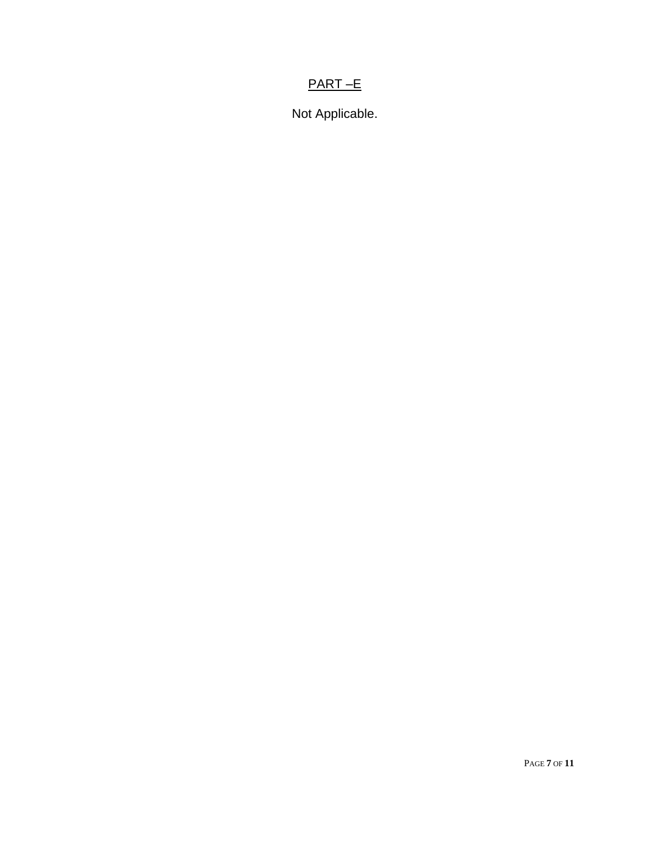# PART –E

Not Applicable.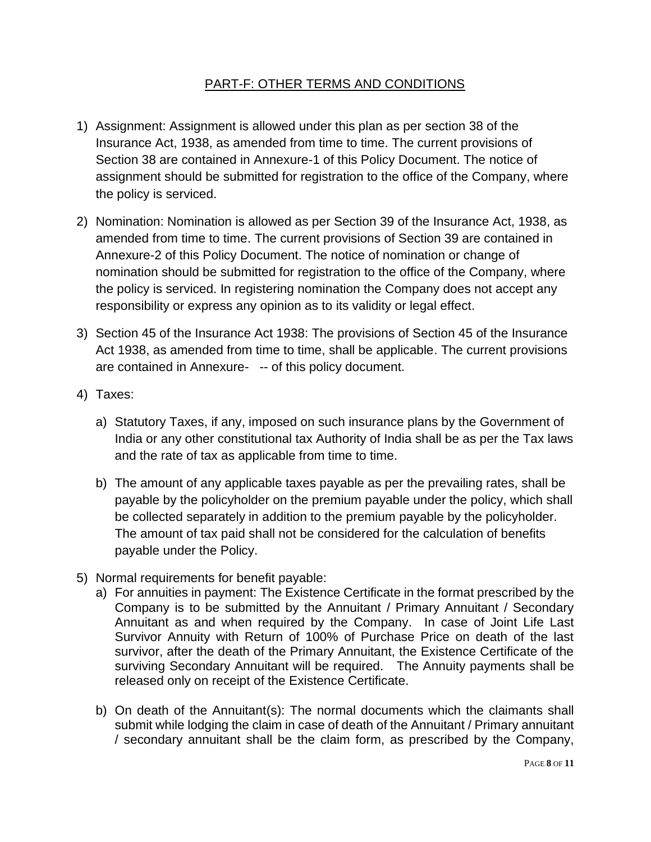#### PART-F: OTHER TERMS AND CONDITIONS

- 1) Assignment: Assignment is allowed under this plan as per section 38 of the Insurance Act, 1938, as amended from time to time. The current provisions of Section 38 are contained in Annexure-1 of this Policy Document. The notice of assignment should be submitted for registration to the office of the Company, where the policy is serviced.
- 2) Nomination: Nomination is allowed as per Section 39 of the Insurance Act, 1938, as amended from time to time. The current provisions of Section 39 are contained in Annexure-2 of this Policy Document. The notice of nomination or change of nomination should be submitted for registration to the office of the Company, where the policy is serviced. In registering nomination the Company does not accept any responsibility or express any opinion as to its validity or legal effect.
- 3) Section 45 of the Insurance Act 1938: The provisions of Section 45 of the Insurance Act 1938, as amended from time to time, shall be applicable. The current provisions are contained in Annexure- -- of this policy document.
- 4) Taxes:
	- a) Statutory Taxes, if any, imposed on such insurance plans by the Government of India or any other constitutional tax Authority of India shall be as per the Tax laws and the rate of tax as applicable from time to time.
	- b) The amount of any applicable taxes payable as per the prevailing rates, shall be payable by the policyholder on the premium payable under the policy, which shall be collected separately in addition to the premium payable by the policyholder. The amount of tax paid shall not be considered for the calculation of benefits payable under the Policy.
- 5) Normal requirements for benefit payable:
	- a) For annuities in payment: The Existence Certificate in the format prescribed by the Company is to be submitted by the Annuitant / Primary Annuitant / Secondary Annuitant as and when required by the Company. In case of Joint Life Last Survivor Annuity with Return of 100% of Purchase Price on death of the last survivor, after the death of the Primary Annuitant, the Existence Certificate of the surviving Secondary Annuitant will be required. The Annuity payments shall be released only on receipt of the Existence Certificate.
	- b) On death of the Annuitant(s): The normal documents which the claimants shall submit while lodging the claim in case of death of the Annuitant / Primary annuitant / secondary annuitant shall be the claim form, as prescribed by the Company,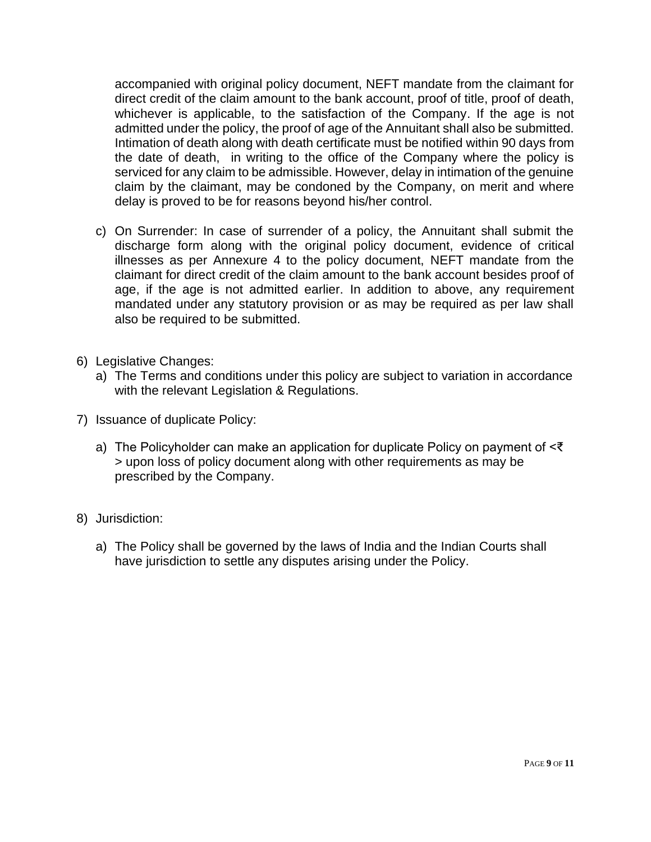accompanied with original policy document, NEFT mandate from the claimant for direct credit of the claim amount to the bank account, proof of title, proof of death, whichever is applicable, to the satisfaction of the Company. If the age is not admitted under the policy, the proof of age of the Annuitant shall also be submitted. Intimation of death along with death certificate must be notified within 90 days from the date of death, in writing to the office of the Company where the policy is serviced for any claim to be admissible. However, delay in intimation of the genuine claim by the claimant, may be condoned by the Company, on merit and where delay is proved to be for reasons beyond his/her control.

- c) On Surrender: In case of surrender of a policy, the Annuitant shall submit the discharge form along with the original policy document, evidence of critical illnesses as per Annexure 4 to the policy document, NEFT mandate from the claimant for direct credit of the claim amount to the bank account besides proof of age, if the age is not admitted earlier. In addition to above, any requirement mandated under any statutory provision or as may be required as per law shall also be required to be submitted.
- 6) Legislative Changes:
	- a) The Terms and conditions under this policy are subject to variation in accordance with the relevant Legislation & Regulations.
- 7) Issuance of duplicate Policy:
	- a) The Policyholder can make an application for duplicate Policy on payment of <₹ > upon loss of policy document along with other requirements as may be prescribed by the Company.
- 8) Jurisdiction:
	- a) The Policy shall be governed by the laws of India and the Indian Courts shall have jurisdiction to settle any disputes arising under the Policy.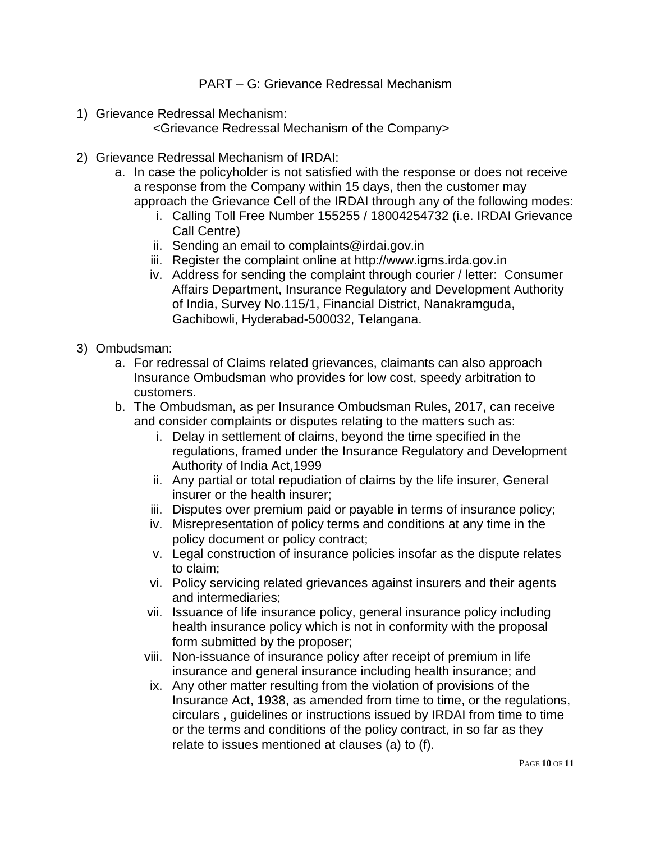PART – G: Grievance Redressal Mechanism

1) Grievance Redressal Mechanism:

<Grievance Redressal Mechanism of the Company>

- 2) Grievance Redressal Mechanism of IRDAI:
	- a. In case the policyholder is not satisfied with the response or does not receive a response from the Company within 15 days, then the customer may approach the Grievance Cell of the IRDAI through any of the following modes:
		- i. Calling Toll Free Number 155255 / 18004254732 (i.e. IRDAI Grievance Call Centre)
		- ii. Sending an email to complaints@irdai.gov.in
		- iii. Register the complaint online at http://www.igms.irda.gov.in
		- iv. Address for sending the complaint through courier / letter: Consumer Affairs Department, Insurance Regulatory and Development Authority of India, Survey No.115/1, Financial District, Nanakramguda, Gachibowli, Hyderabad-500032, Telangana.
- 3) Ombudsman:
	- a. For redressal of Claims related grievances, claimants can also approach Insurance Ombudsman who provides for low cost, speedy arbitration to customers.
	- b. The Ombudsman, as per Insurance Ombudsman Rules, 2017, can receive and consider complaints or disputes relating to the matters such as:
		- i. Delay in settlement of claims, beyond the time specified in the regulations, framed under the Insurance Regulatory and Development Authority of India Act,1999
		- ii. Any partial or total repudiation of claims by the life insurer, General insurer or the health insurer;
		- iii. Disputes over premium paid or payable in terms of insurance policy;
		- iv. Misrepresentation of policy terms and conditions at any time in the policy document or policy contract;
		- v. Legal construction of insurance policies insofar as the dispute relates to claim;
		- vi. Policy servicing related grievances against insurers and their agents and intermediaries;
		- vii. Issuance of life insurance policy, general insurance policy including health insurance policy which is not in conformity with the proposal form submitted by the proposer;
		- viii. Non-issuance of insurance policy after receipt of premium in life insurance and general insurance including health insurance; and
		- ix. Any other matter resulting from the violation of provisions of the Insurance Act, 1938, as amended from time to time, or the regulations, circulars , guidelines or instructions issued by IRDAI from time to time or the terms and conditions of the policy contract, in so far as they relate to issues mentioned at clauses (a) to (f).